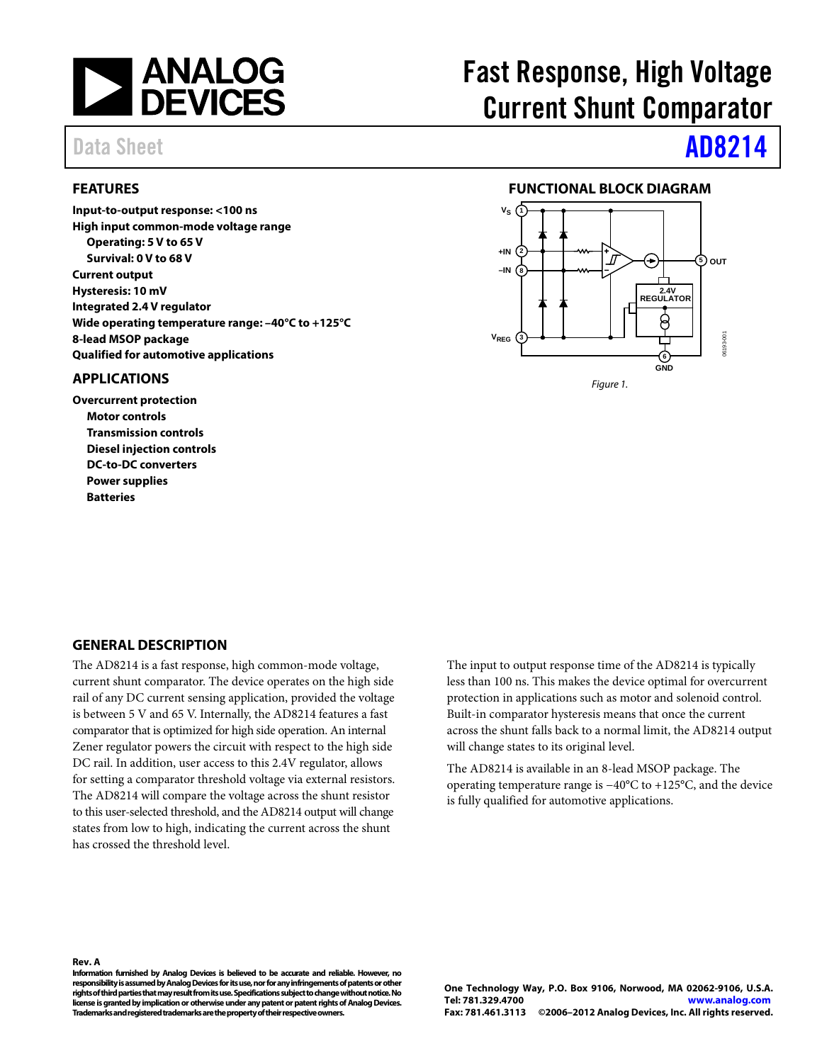

### <span id="page-0-0"></span>**FEATURES**

**Input-to-output response: <100 ns High input common-mode voltage range Operating: 5 V to 65 V Survival: 0 V to 68 V Current output Hysteresis: 10 mV Integrated 2.4 V regulator Wide operating temperature range: –40°C to +125°C 8-lead MSOP package Qualified for automotive applications**

#### <span id="page-0-1"></span>**APPLICATIONS**

**Overcurrent protection Motor controls Transmission controls Diesel injection controls DC-to-DC converters Power supplies Batteries**

# Fast Response, High Voltage Current Shunt Comparator

# Data Sheet **[AD8214](www.analog.com/AD8214)**

### **FUNCTIONAL BLOCK DIAGRAM**

<span id="page-0-2"></span>

#### <span id="page-0-3"></span>**GENERAL DESCRIPTION**

The AD8214 is a fast response, high common-mode voltage, current shunt comparator. The device operates on the high side rail of any DC current sensing application, provided the voltage is between 5 V and 65 V. Internally, the AD8214 features a fast comparator that is optimized for high side operation. An internal Zener regulator powers the circuit with respect to the high side DC rail. In addition, user access to this 2.4V regulator, allows for setting a comparator threshold voltage via external resistors. The AD8214 will compare the voltage across the shunt resistor to this user-selected threshold, and the AD8214 output will change states from low to high, indicating the current across the shunt has crossed the threshold level.

The input to output response time of the AD8214 is typically less than 100 ns. This makes the device optimal for overcurrent protection in applications such as motor and solenoid control. Built-in comparator hysteresis means that once the current across the shunt falls back to a normal limit, the AD8214 output will change states to its original level.

The AD8214 is available in an 8-lead MSOP package. The operating temperature range is −40°C to +125°C, and the device is fully qualified for automotive applications.

#### **Rev. A**

**Information furnished by Analog Devices is believed to be accurate and reliable. However, no responsibility is assumed by Analog Devices for its use, nor for any infringements of patents or other rights of third parties that may result from its use. Specifications subject to change without notice. No license is granted by implication or otherwise under any patent or patent rights of Analog Devices. Trademarks and registered trademarks are the property of their respective owners.**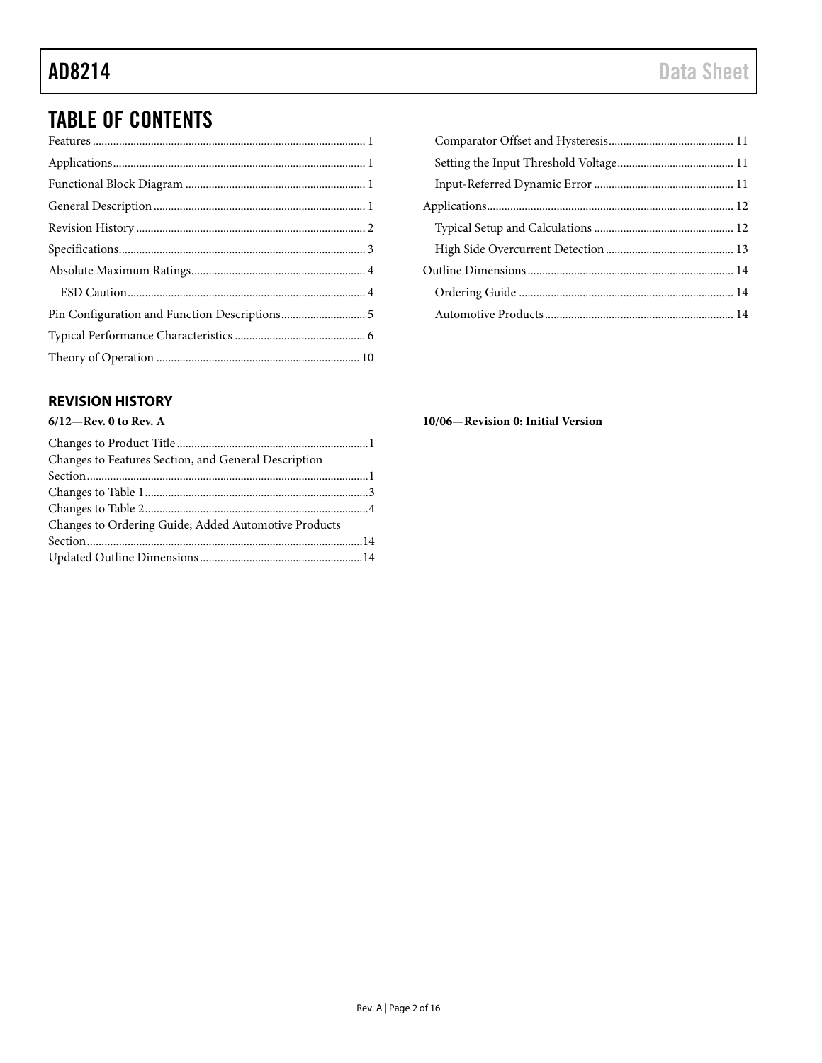## **TABLE OF CONTENTS**

## <span id="page-1-0"></span>**REVISION HISTORY**

## $6/12$ -Rev. 0 to Rev. A

| Changes to Features Section, and General Description |  |
|------------------------------------------------------|--|
|                                                      |  |
|                                                      |  |
|                                                      |  |
| Changes to Ordering Guide; Added Automotive Products |  |
|                                                      |  |
|                                                      |  |

10/06-Revision 0: Initial Version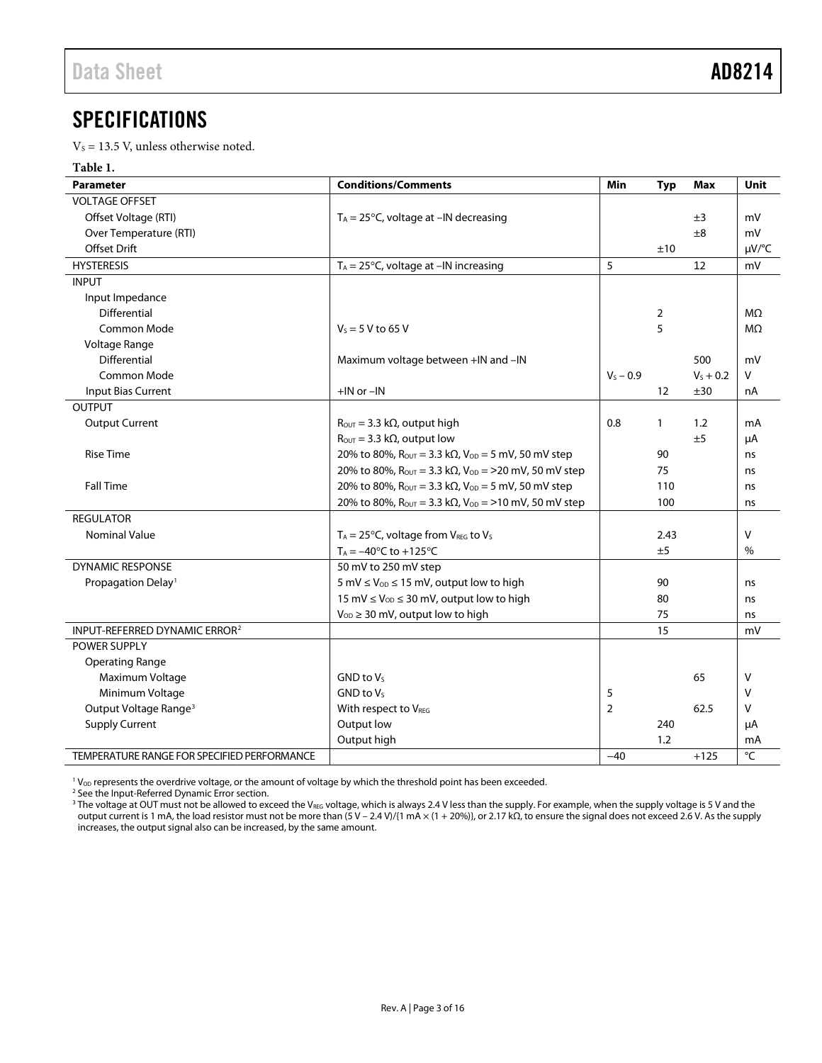## <span id="page-2-0"></span>SPECIFICATIONS

 $V_s = 13.5$  V, unless otherwise noted.

#### **Table 1.**

| <b>Parameter</b>                            | <b>Conditions/Comments</b>                                                                        | Min            | <b>Typ</b>        | Max         | <b>Unit</b>    |
|---------------------------------------------|---------------------------------------------------------------------------------------------------|----------------|-------------------|-------------|----------------|
| <b>VOLTAGE OFFSET</b>                       |                                                                                                   |                |                   |             |                |
| Offset Voltage (RTI)                        | $T_A = 25^{\circ}$ C, voltage at -IN decreasing                                                   |                |                   | ±3          | mV             |
| Over Temperature (RTI)                      |                                                                                                   |                |                   | ±8          | mV             |
| <b>Offset Drift</b>                         |                                                                                                   |                | ±10               |             | µV/°C          |
| <b>HYSTERESIS</b>                           | $T_A = 25^{\circ}C$ , voltage at $-IN$ increasing                                                 | 5              |                   | 12          | mV             |
| <b>INPUT</b>                                |                                                                                                   |                |                   |             |                |
| Input Impedance                             |                                                                                                   |                |                   |             |                |
| Differential                                |                                                                                                   |                | 2                 |             | M <sub>2</sub> |
| <b>Common Mode</b>                          | $V_s = 5 V$ to 65 V                                                                               |                | 5                 |             | M <sub>2</sub> |
| Voltage Range                               |                                                                                                   |                |                   |             |                |
| Differential                                | Maximum voltage between +IN and -IN                                                               |                |                   | 500         | mV             |
| Common Mode                                 |                                                                                                   | $V_S - 0.9$    |                   | $V_5 + 0.2$ | v              |
| Input Bias Current                          | $+$ IN or $-$ IN                                                                                  |                | $12 \overline{ }$ | ±30         | nA             |
| <b>OUTPUT</b>                               |                                                                                                   |                |                   |             |                |
| <b>Output Current</b>                       | $R_{\text{OUT}} = 3.3 \text{ k}\Omega$ , output high                                              | 0.8            | $\mathbf{1}$      | 1.2         | mA             |
|                                             | $R_{\text{OUT}} = 3.3 \text{ k}\Omega$ , output low                                               |                |                   | ±5          | μA             |
| <b>Rise Time</b>                            | 20% to 80%, $R_{OUT} = 3.3$ k $\Omega$ , $V_{OD} = 5$ mV, 50 mV step                              |                | 90                |             | ns             |
|                                             | 20% to 80%, $R_{\text{OUT}} = 3.3 \text{ k}\Omega$ , $V_{\text{OD}} = 20 \text{ mV}$ , 50 mV step |                | 75                |             | ns             |
| <b>Fall Time</b>                            | 20% to 80%, $R_{\text{OUT}} = 3.3 \text{ k}\Omega$ , $V_{\text{OD}} = 5 \text{ mV}$ , 50 mV step  |                | 110               |             | ns             |
|                                             | 20% to 80%, $R_{\text{OUT}} = 3.3 \text{ k}\Omega$ , $V_{\text{OD}} = 10 \text{ mV}$ , 50 mV step |                | 100               |             | ns             |
| <b>REGULATOR</b>                            |                                                                                                   |                |                   |             |                |
| <b>Nominal Value</b>                        | $T_A = 25$ °C, voltage from V <sub>REG</sub> to V <sub>S</sub>                                    |                | 2.43              |             | v              |
|                                             | $T_A = -40$ °C to +125°C                                                                          |                | ±5                |             | %              |
| <b>DYNAMIC RESPONSE</b>                     | 50 mV to 250 mV step                                                                              |                |                   |             |                |
| Propagation Delay <sup>1</sup>              | 5 mV $\leq$ V <sub>OD</sub> $\leq$ 15 mV, output low to high                                      |                | 90                |             | ns             |
|                                             | 15 mV $\leq$ V <sub>OD</sub> $\leq$ 30 mV, output low to high                                     |                | 80                |             | ns             |
|                                             | $V_{OD} \geq 30$ mV, output low to high                                                           |                | 75                |             | ns             |
| INPUT-REFERRED DYNAMIC ERROR <sup>2</sup>   |                                                                                                   |                | 15                |             | mV             |
| <b>POWER SUPPLY</b>                         |                                                                                                   |                |                   |             |                |
| <b>Operating Range</b>                      |                                                                                                   |                |                   |             |                |
| Maximum Voltage                             | $GND$ to $V_S$                                                                                    |                |                   | 65          | V              |
| Minimum Voltage                             | $GND$ to $V_S$                                                                                    | 5              |                   |             | V              |
| Output Voltage Range <sup>3</sup>           | With respect to VREG                                                                              | $\overline{2}$ |                   | 62.5        | v              |
| <b>Supply Current</b>                       | Output low                                                                                        |                | 240               |             | μA             |
|                                             | Output high                                                                                       |                | 1.2               |             | mA             |
| TEMPERATURE RANGE FOR SPECIFIED PERFORMANCE |                                                                                                   | $-40$          |                   | $+125$      | °C             |

<sup>1</sup> V<sub>OD</sub> represents the overdrive voltage, or the amount of voltage by which the threshold point has been exceeded.

<sup>2</sup> See th[e Input-Referred Dynamic Error](#page-10-2) section.

 $^3$  The voltage at OUT must not be allowed to exceed the V $_{\rm{REG}}$  voltage, which is always 2.4 V less than the supply. For example, when the supply voltage is 5 V and the output current is 1 mA, the load resistor must not be more than (5 V – 2.4 V)/{1 mA × (1 + 20%)}, or 2.17 kΩ, to ensure the signal does not exceed 2.6 V. As the supply increases, the output signal also can be increased, by the same amount.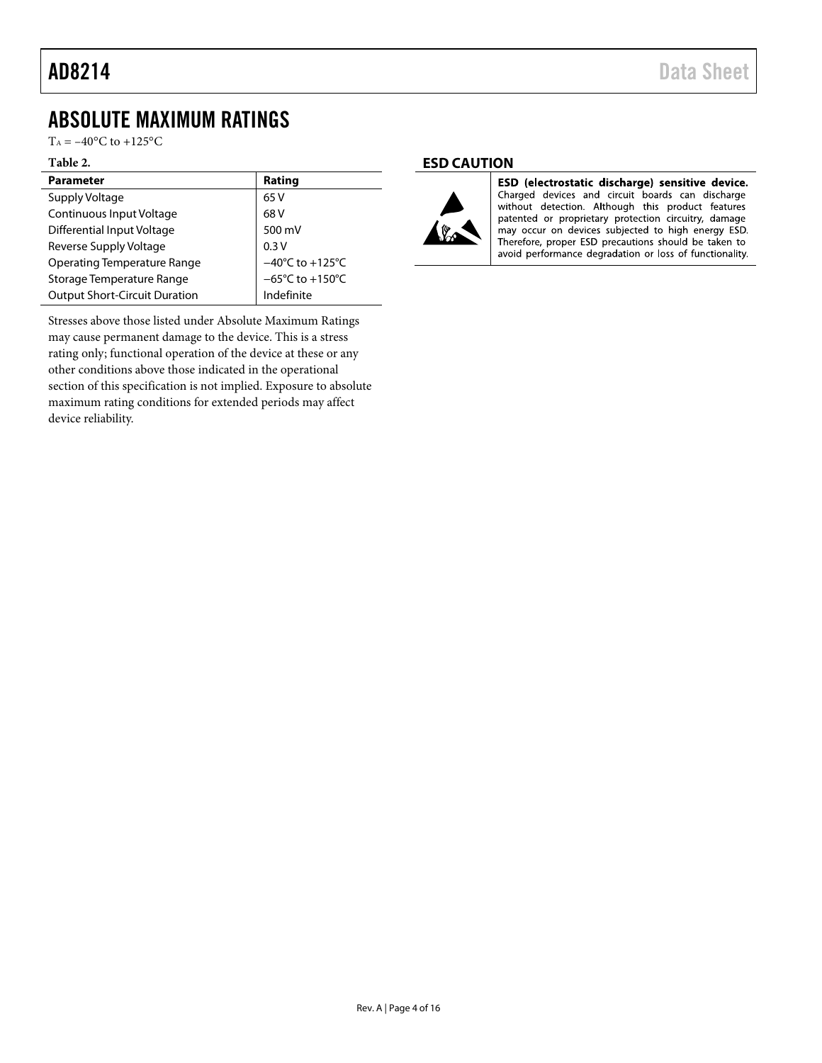## <span id="page-3-0"></span>ABSOLUTE MAXIMUM RATINGS

 $T_A = -40$ °C to +125°C

#### **Table 2.**

| <b>Parameter</b>                     | Rating                               |
|--------------------------------------|--------------------------------------|
| Supply Voltage                       | 65 V                                 |
| Continuous Input Voltage             | 68 V                                 |
| Differential Input Voltage           | 500 mV                               |
| Reverse Supply Voltage               | 0.3V                                 |
| <b>Operating Temperature Range</b>   | $-40^{\circ}$ C to $+125^{\circ}$ C  |
| Storage Temperature Range            | $-65^{\circ}$ C to +150 $^{\circ}$ C |
| <b>Output Short-Circuit Duration</b> | Indefinite                           |

Stresses above those listed under Absolute Maximum Ratings may cause permanent damage to the device. This is a stress rating only; functional operation of the device at these or any other conditions above those indicated in the operational section of this specification is not implied. Exposure to absolute maximum rating conditions for extended periods may affect device reliability.

#### <span id="page-3-1"></span>**ESD CAUTION**



ESD (electrostatic discharge) sensitive device. Charged devices and circuit boards can discharge without detection. Although this product features patented or proprietary protection circuitry, damage may occur on devices subjected to high energy ESD. Therefore, proper ESD precautions should be taken to avoid performance degradation or loss of functionality.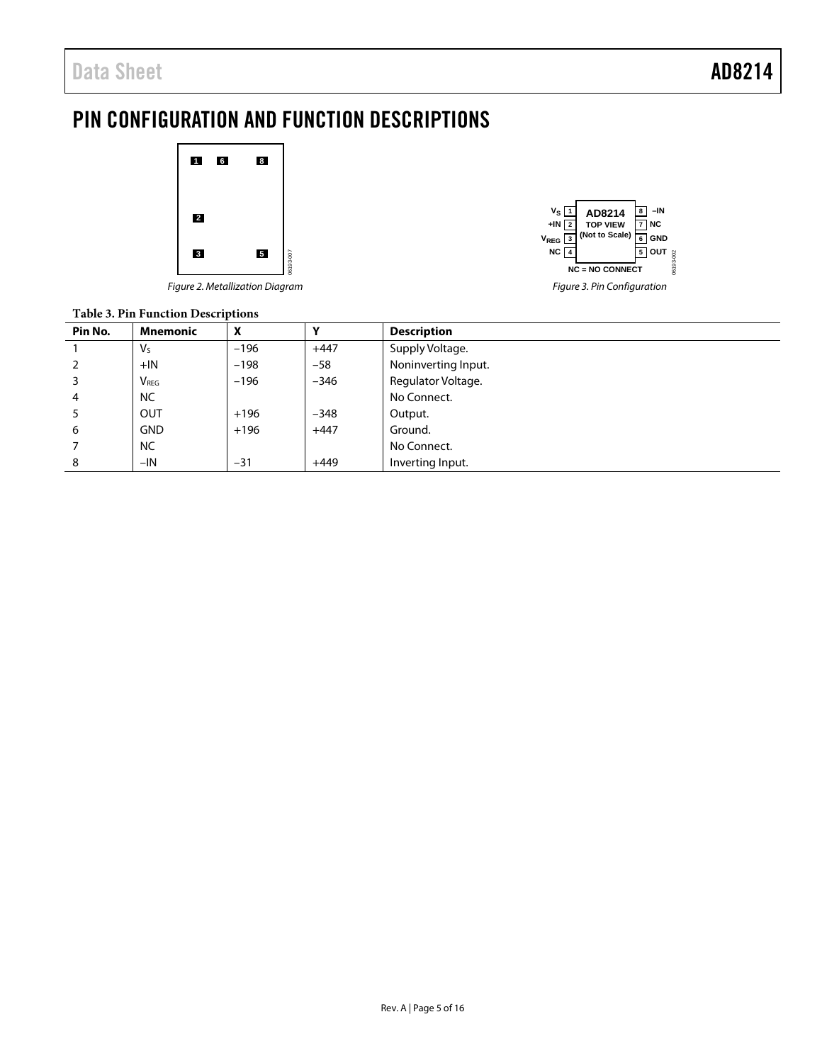## <span id="page-4-0"></span>PIN CONFIGURATION AND FUNCTION DESCRIPTIONS



*Figure 2. Metallization Diagram*



### **Table 3. Pin Function Descriptions**

| - wore clients - water-out - coefficients |                  |        |        |                     |
|-------------------------------------------|------------------|--------|--------|---------------------|
| Pin No.                                   | <b>Mnemonic</b>  | X      | v      | <b>Description</b>  |
|                                           | $V_{S}$          | $-196$ | $+447$ | Supply Voltage.     |
|                                           | $+IN$            | $-198$ | $-58$  | Noninverting Input. |
|                                           | V <sub>REG</sub> | $-196$ | $-346$ | Regulator Voltage.  |
| 4                                         | <b>NC</b>        |        |        | No Connect.         |
|                                           | OUT              | $+196$ | $-348$ | Output.             |
| 6                                         | <b>GND</b>       | $+196$ | $+447$ | Ground.             |
|                                           | <b>NC</b>        |        |        | No Connect.         |
| 8                                         | $-IN$            | $-31$  | $+449$ | Inverting Input.    |
|                                           |                  |        |        |                     |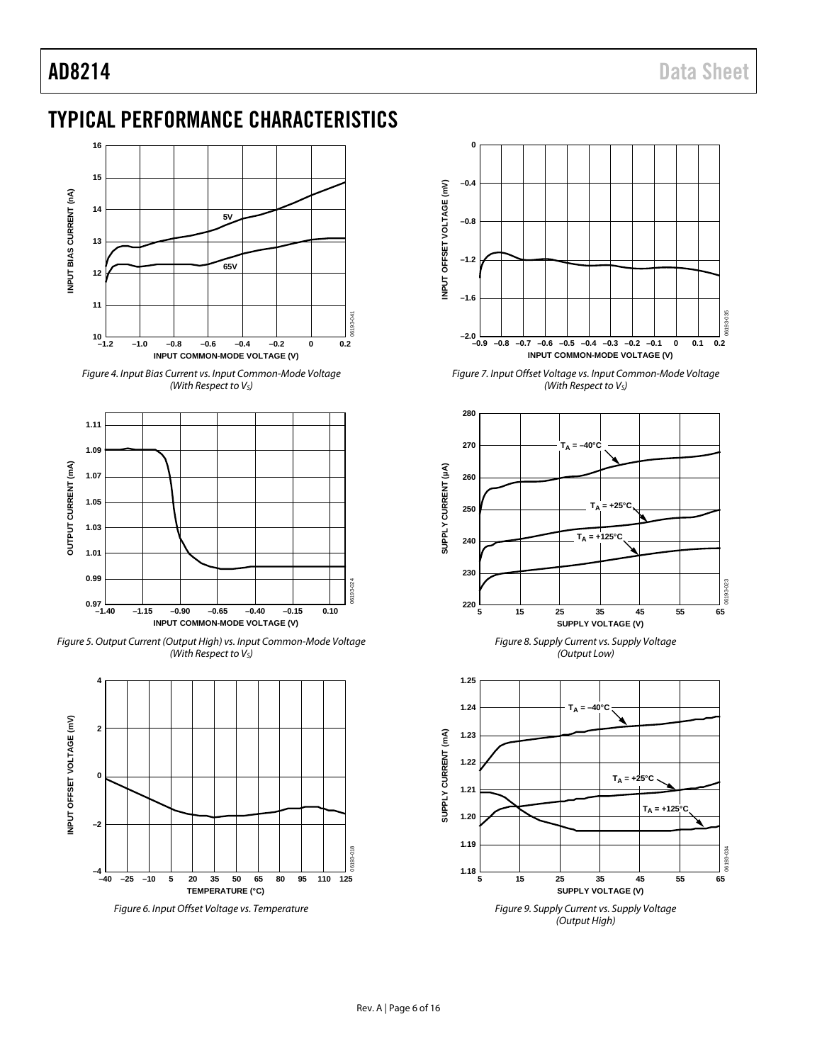## <span id="page-5-0"></span>TYPICAL PERFORMANCE CHARACTERISTICS



*Figure 4. Input Bias Current vs. Input Common-Mode Voltage (With Respect to VS)*



*Figure 5. Output Current (Output High) vs. Input Common-Mode Voltage (With Respect to VS)*



*Figure 6. Input Offset Voltage vs. Temperature*



*Figure 7. Input Offset Voltage vs. Input Common-Mode Voltage (With Respect to VS)*



*Figure 8. Supply Current vs. Supply Voltage (Output Low)*



*Figure 9. Supply Current vs. Supply Voltage (Output High)*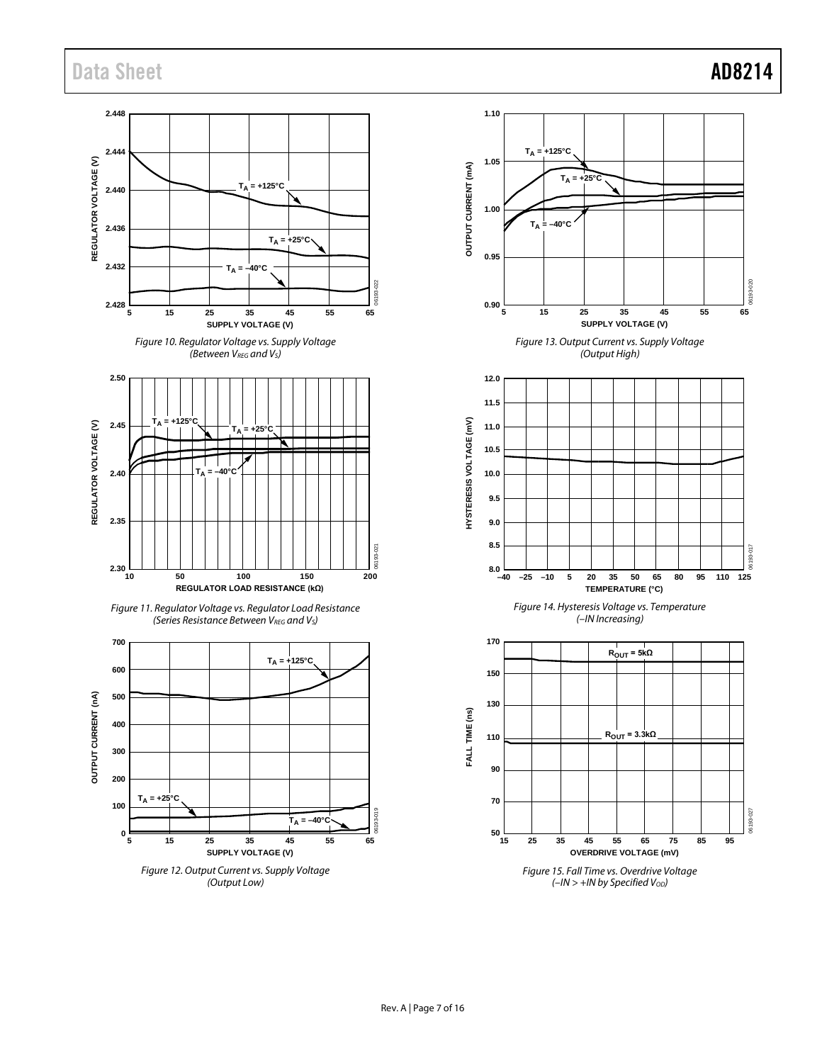## Data Sheet **AD8214**

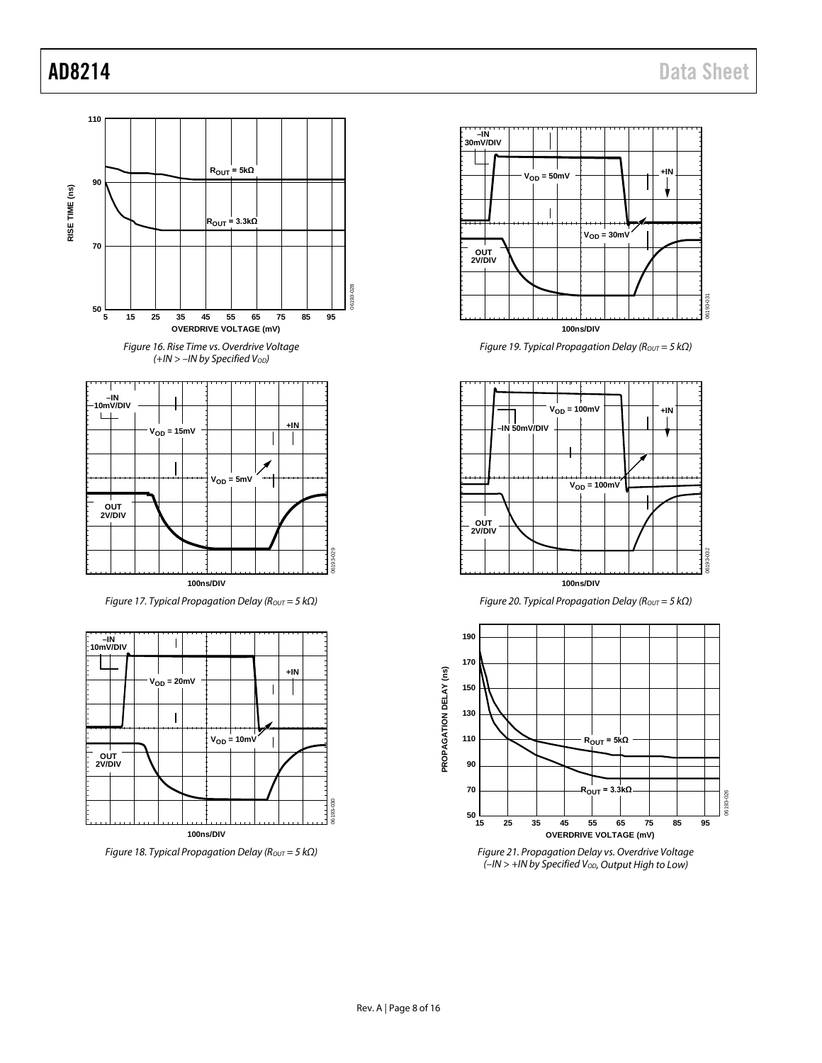06193-026

06193-026

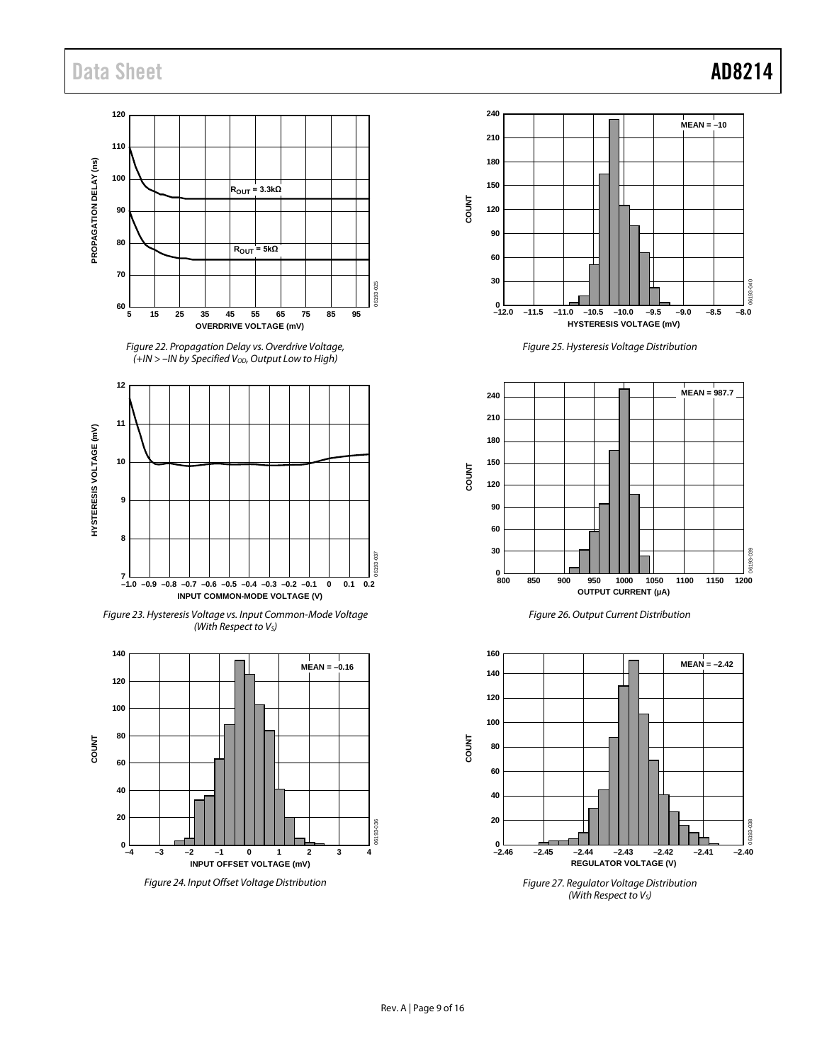## Data Sheet **AD8214**

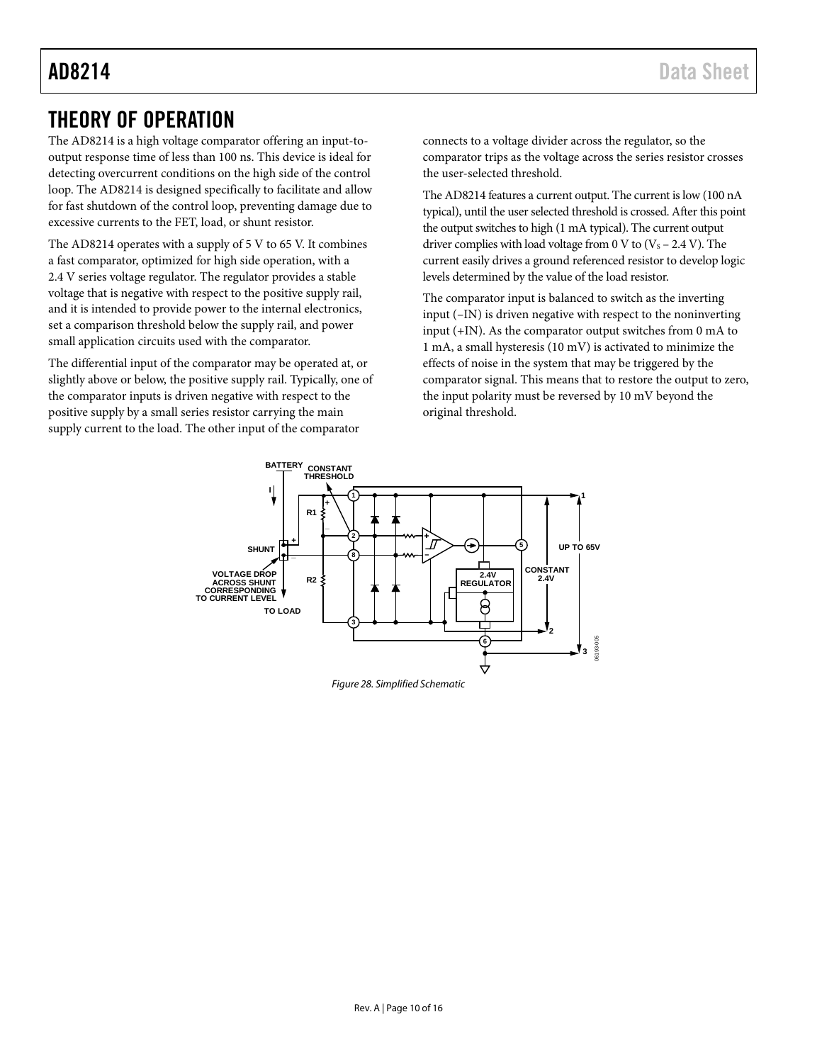## <span id="page-9-0"></span>THEORY OF OPERATION

The AD8214 is a high voltage comparator offering an input-tooutput response time of less than 100 ns. This device is ideal for detecting overcurrent conditions on the high side of the control loop. The AD8214 is designed specifically to facilitate and allow for fast shutdown of the control loop, preventing damage due to excessive currents to the FET, load, or shunt resistor.

The AD8214 operates with a supply of 5 V to 65 V. It combines a fast comparator, optimized for high side operation, with a 2.4 V series voltage regulator. The regulator provides a stable voltage that is negative with respect to the positive supply rail, and it is intended to provide power to the internal electronics, set a comparison threshold below the supply rail, and power small application circuits used with the comparator.

The differential input of the comparator may be operated at, or slightly above or below, the positive supply rail. Typically, one of the comparator inputs is driven negative with respect to the positive supply by a small series resistor carrying the main supply current to the load. The other input of the comparator

connects to a voltage divider across the regulator, so the comparator trips as the voltage across the series resistor crosses the user-selected threshold.

The AD8214 features a current output. The current is low (100 nA typical), until the user selected threshold is crossed. After this point the output switches to high (1 mA typical). The current output driver complies with load voltage from 0 V to  $(V<sub>S</sub> - 2.4 V)$ . The current easily drives a ground referenced resistor to develop logic levels determined by the value of the load resistor.

The comparator input is balanced to switch as the inverting input (–IN) is driven negative with respect to the noninverting input (+IN). As the comparator output switches from 0 mA to 1 mA, a small hysteresis (10 mV) is activated to minimize the effects of noise in the system that may be triggered by the comparator signal. This means that to restore the output to zero, the input polarity must be reversed by 10 mV beyond the original threshold.

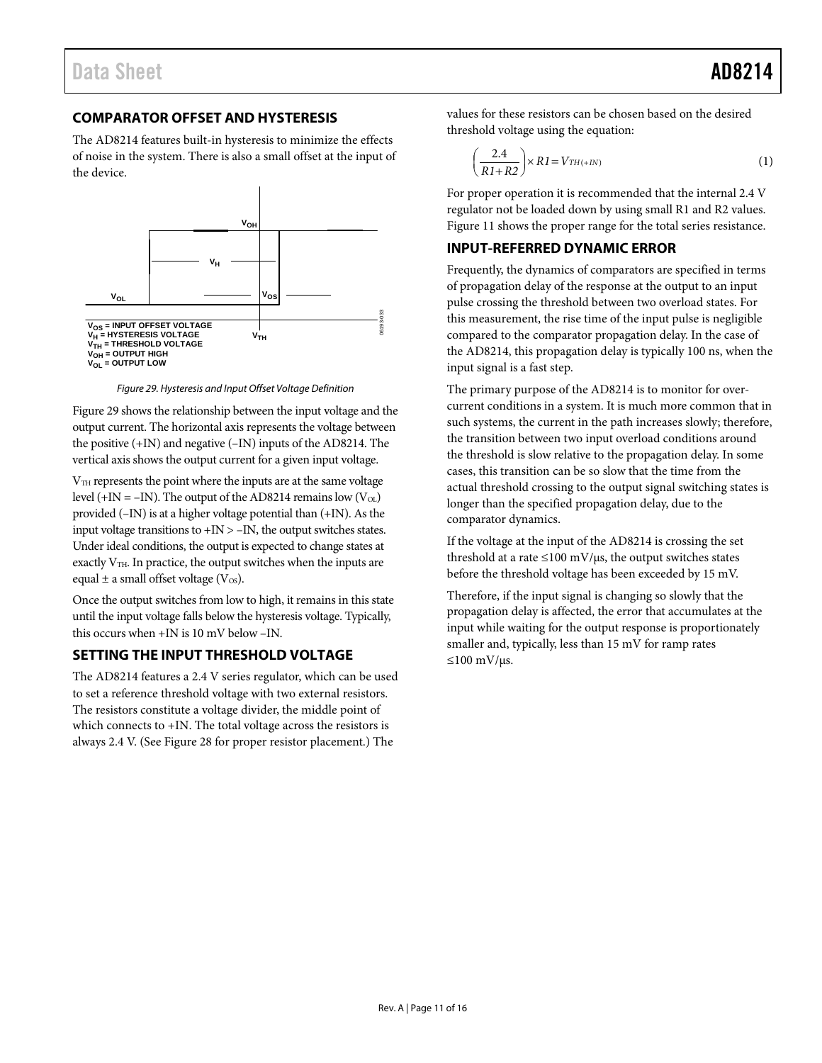## <span id="page-10-0"></span>**COMPARATOR OFFSET AND HYSTERESIS**

The AD8214 features built-in hysteresis to minimize the effects of noise in the system. There is also a small offset at the input of the device.



*Figure 29. Hysteresis and Input Offset Voltage Definition*

Figure 29 shows the relationship between the input voltage and the output current. The horizontal axis represents the voltage between the positive (+IN) and negative (–IN) inputs of the AD8214. The vertical axis shows the output current for a given input voltage.

V<sub>TH</sub> represents the point where the inputs are at the same voltage level (+IN = –IN). The output of the AD8214 remains low ( $V_{OL}$ ) provided (–IN) is at a higher voltage potential than (+IN). As the input voltage transitions to +IN > –IN, the output switches states. Under ideal conditions, the output is expected to change states at exactly  $V<sub>TH</sub>$ . In practice, the output switches when the inputs are equal  $\pm$  a small offset voltage (V $\infty$ ).

Once the output switches from low to high, it remains in this state until the input voltage falls below the hysteresis voltage. Typically, this occurs when +IN is 10 mV below –IN.

#### <span id="page-10-1"></span>**SETTING THE INPUT THRESHOLD VOLTAGE**

The AD8214 features a 2.4 V series regulator, which can be used to set a reference threshold voltage with two external resistors. The resistors constitute a voltage divider, the middle point of which connects to  $+IN$ . The total voltage across the resistors is always 2.4 V. (See Figure 28 for proper resistor placement.) The

values for these resistors can be chosen based on the desired threshold voltage using the equation:

$$
\left(\frac{2.4}{R1+R2}\right) \times R1 = V_{TH(+IN)}\tag{1}
$$

For proper operation it is recommended that the internal 2.4 V regulator not be loaded down by using small R1 and R2 values. Figure 11 shows the proper range for the total series resistance.

### <span id="page-10-2"></span>**INPUT-REFERRED DYNAMIC ERROR**

Frequently, the dynamics of comparators are specified in terms of propagation delay of the response at the output to an input pulse crossing the threshold between two overload states. For this measurement, the rise time of the input pulse is negligible compared to the comparator propagation delay. In the case of the AD8214, this propagation delay is typically 100 ns, when the input signal is a fast step.

The primary purpose of the AD8214 is to monitor for overcurrent conditions in a system. It is much more common that in such systems, the current in the path increases slowly; therefore, the transition between two input overload conditions around the threshold is slow relative to the propagation delay. In some cases, this transition can be so slow that the time from the actual threshold crossing to the output signal switching states is longer than the specified propagation delay, due to the comparator dynamics.

If the voltage at the input of the AD8214 is crossing the set threshold at a rate  $\leq$ 100 mV/ $\mu$ s, the output switches states before the threshold voltage has been exceeded by 15 mV.

Therefore, if the input signal is changing so slowly that the propagation delay is affected, the error that accumulates at the input while waiting for the output response is proportionately smaller and, typically, less than 15 mV for ramp rates  $≤100$  mV/μs.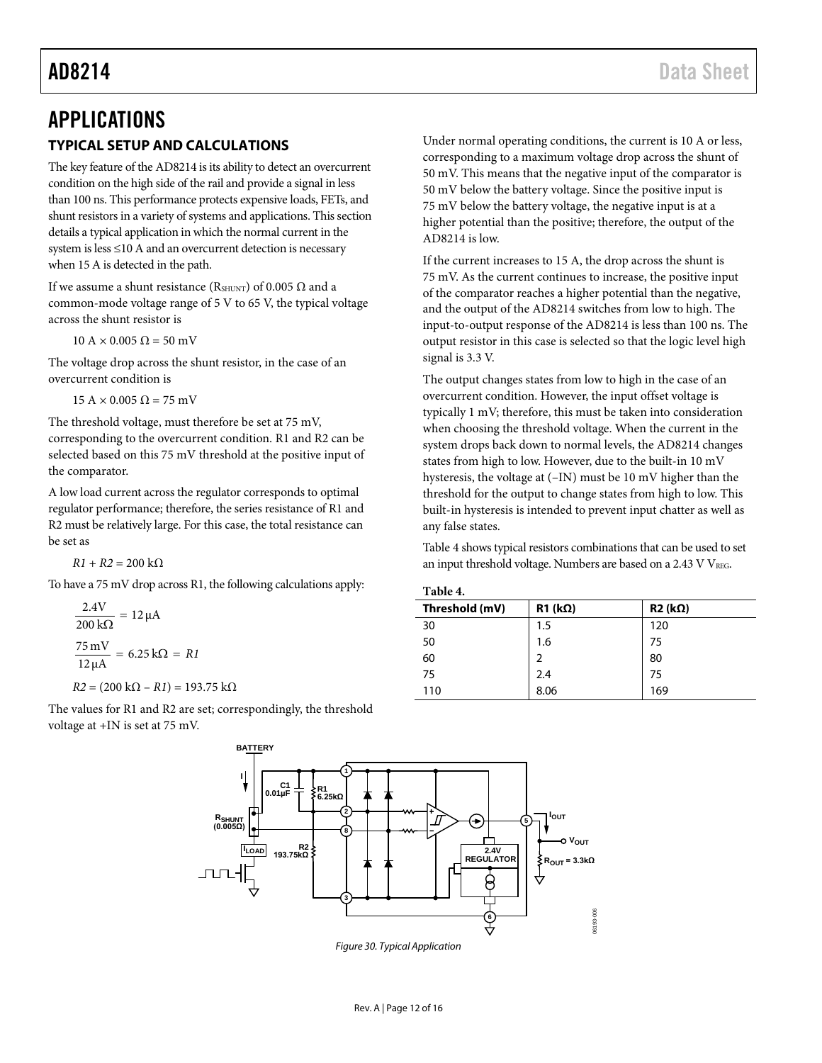## <span id="page-11-1"></span><span id="page-11-0"></span>APPLICATIONS **TYPICAL SETUP AND CALCULATIONS**

The key feature of the AD8214 is its ability to detect an overcurrent condition on the high side of the rail and provide a signal in less than 100 ns. This performance protects expensive loads, FETs, and shunt resistors in a variety of systems and applications. This section details a typical application in which the normal current in the system is less ≤10 A and an overcurrent detection is necessary when 15 A is detected in the path.

If we assume a shunt resistance (RSHUNT) of 0.005  $Ω$  and a common-mode voltage range of 5 V to 65 V, the typical voltage across the shunt resistor is

 $10 \text{ A} \times 0.005 \Omega = 50 \text{ mV}$ 

The voltage drop across the shunt resistor, in the case of an overcurrent condition is

 $15 \text{ A} \times 0.005 \Omega = 75 \text{ mV}$ 

The threshold voltage, must therefore be set at 75 mV, corresponding to the overcurrent condition. R1 and R2 can be selected based on this 75 mV threshold at the positive input of the comparator.

A low load current across the regulator corresponds to optimal regulator performance; therefore, the series resistance of R1 and R2 must be relatively large. For this case, the total resistance can be set as

 $R1 + R2 = 200$  kΩ

To have a 75 mV drop across R1, the following calculations apply:

$$
\frac{2.4V}{200 k\Omega} = 12 \mu A
$$

$$
\frac{75 \text{ mV}}{12 \mu A} = 6.25 k\Omega = RI
$$

 $R2 = (200 \text{ k}\Omega - R1) = 193.75 \text{ k}\Omega$ 

The values for R1 and R2 are set; correspondingly, the threshold voltage at +IN is set at 75 mV.

Under normal operating conditions, the current is 10 A or less, corresponding to a maximum voltage drop across the shunt of 50 mV. This means that the negative input of the comparator is 50 mV below the battery voltage. Since the positive input is 75 mV below the battery voltage, the negative input is at a higher potential than the positive; therefore, the output of the AD8214 is low.

If the current increases to 15 A, the drop across the shunt is 75 mV. As the current continues to increase, the positive input of the comparator reaches a higher potential than the negative, and the output of the AD8214 switches from low to high. The input-to-output response of the AD8214 is less than 100 ns. The output resistor in this case is selected so that the logic level high signal is 3.3 V.

The output changes states from low to high in the case of an overcurrent condition. However, the input offset voltage is typically 1 mV; therefore, this must be taken into consideration when choosing the threshold voltage. When the current in the system drops back down to normal levels, the AD8214 changes states from high to low. However, due to the built-in 10 mV hysteresis, the voltage at (–IN) must be 10 mV higher than the threshold for the output to change states from high to low. This built-in hysteresis is intended to prevent input chatter as well as any false states.

[Table 4](#page-11-2) shows typical resistors combinations that can be used to set an input threshold voltage. Numbers are based on a  $2.43$  V VREG.

<span id="page-11-2"></span>

| ав | ı<br>۷ |  |
|----|--------|--|
|    |        |  |

| .              |                    |                    |  |  |  |
|----------------|--------------------|--------------------|--|--|--|
| Threshold (mV) | $R1$ (k $\Omega$ ) | $R2$ (k $\Omega$ ) |  |  |  |
| 30             | 1.5                | 120                |  |  |  |
| 50             | 1.6                | 75                 |  |  |  |
| 60             | 2                  | 80                 |  |  |  |
| 75             | 2.4                | 75                 |  |  |  |
| 110            | 8.06               | 169                |  |  |  |

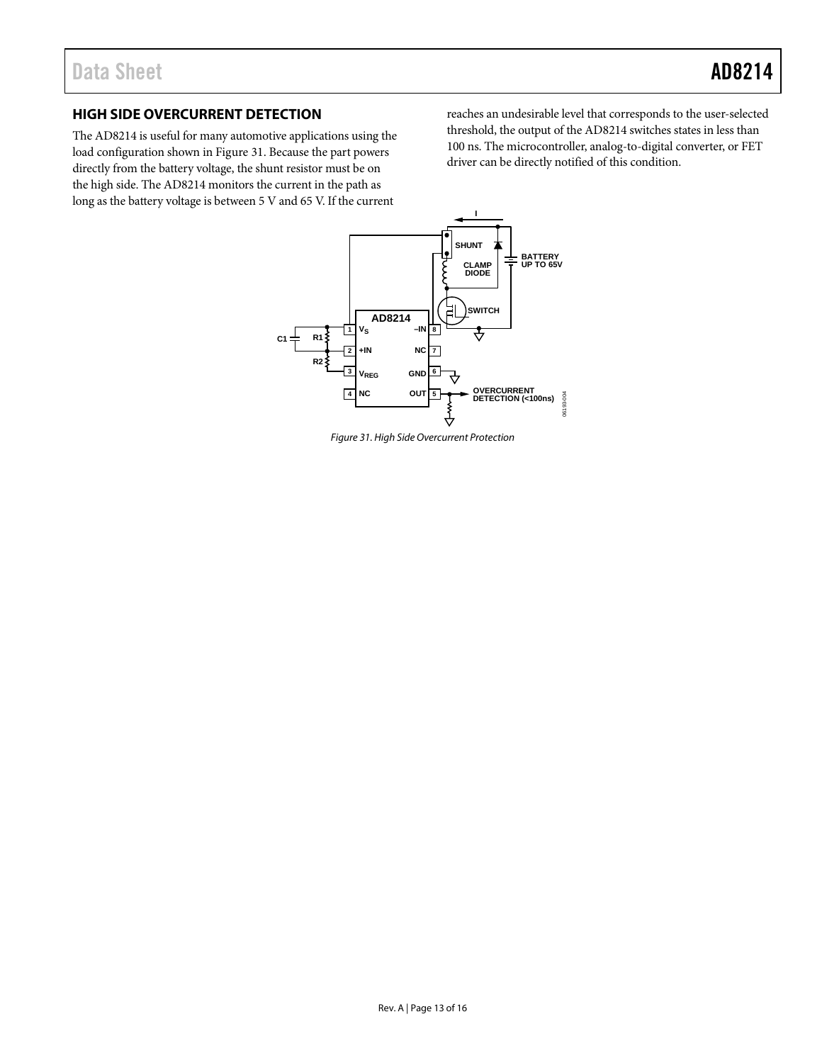## <span id="page-12-0"></span>**HIGH SIDE OVERCURRENT DETECTION**

The AD8214 is useful for many automotive applications using the load configuration shown i[n Figure 31.](#page-12-1) Because the part powers directly from the battery voltage, the shunt resistor must be on the high side. The AD8214 monitors the current in the path as long as the battery voltage is between 5 V and 65 V. If the current

reaches an undesirable level that corresponds to the user-selected threshold, the output of the AD8214 switches states in less than 100 ns. The microcontroller, analog-to-digital converter, or FET driver can be directly notified of this condition.



<span id="page-12-1"></span>*Figure 31. High Side Overcurrent Protection*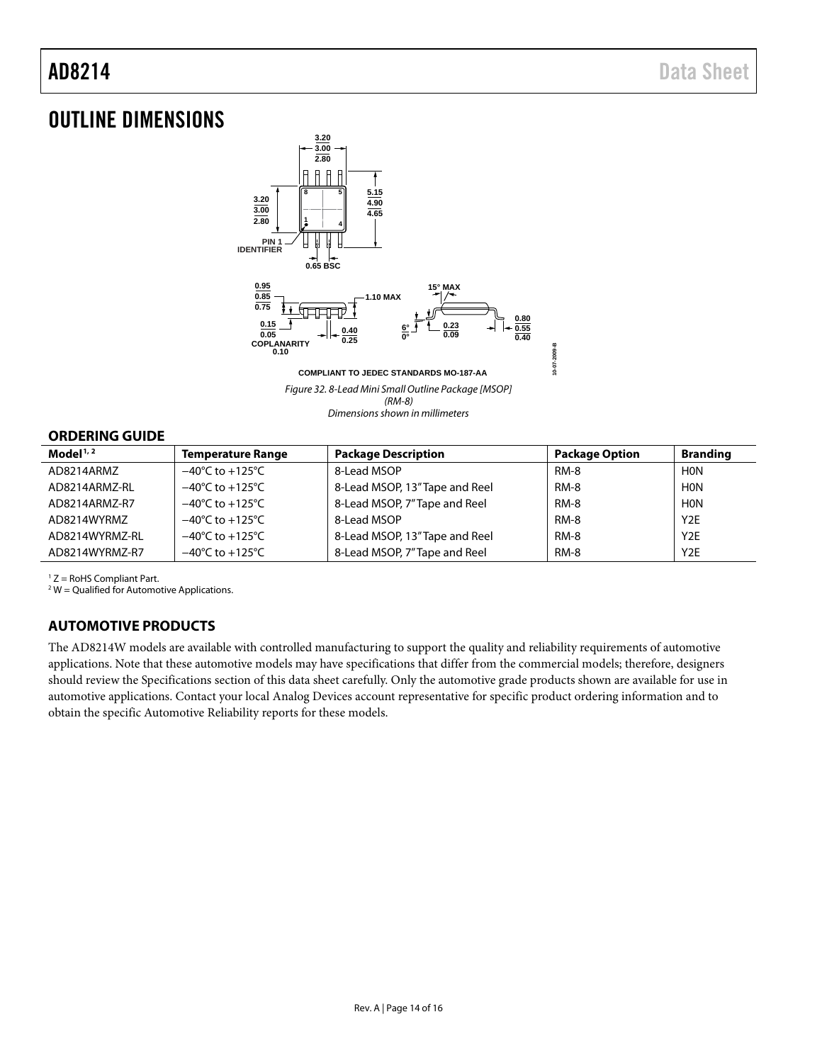## <span id="page-13-0"></span>OUTLINE DIMENSIONS



*Figure 32. 8-Lead Mini Small Outline Package [MSOP] (RM-8) Dimensions shown in millimeters*

#### <span id="page-13-1"></span>**ORDERING GUIDE**

| Model $1/2$    | <b>Temperature Range</b>            | <b>Package Description</b>     | <b>Package Option</b> | <b>Branding</b>  |
|----------------|-------------------------------------|--------------------------------|-----------------------|------------------|
| AD8214ARMZ     | $-40^{\circ}$ C to $+125^{\circ}$ C | 8-Lead MSOP                    | <b>RM-8</b>           | <b>HON</b>       |
| AD8214ARMZ-RL  | $-40^{\circ}$ C to $+125^{\circ}$ C | 8-Lead MSOP, 13" Tape and Reel | <b>RM-8</b>           | <b>HON</b>       |
| AD8214ARMZ-R7  | $-40^{\circ}$ C to $+125^{\circ}$ C | 8-Lead MSOP, 7" Tape and Reel  | <b>RM-8</b>           | <b>HON</b>       |
| AD8214WYRMZ    | $-40^{\circ}$ C to $+125^{\circ}$ C | 8-Lead MSOP                    | <b>RM-8</b>           | Y <sub>2</sub> E |
| AD8214WYRMZ-RL | $-40^{\circ}$ C to $+125^{\circ}$ C | 8-Lead MSOP, 13" Tape and Reel | <b>RM-8</b>           | Y <sub>2</sub> E |
| AD8214WYRMZ-R7 | $-40^{\circ}$ C to $+125^{\circ}$ C | 8-Lead MSOP, 7" Tape and Reel  | <b>RM-8</b>           | Y <sub>2</sub> E |

 $1 Z =$  RoHS Compliant Part.

 $2 W =$  Qualified for Automotive Applications.

## <span id="page-13-2"></span>**AUTOMOTIVE PRODUCTS**

The AD8214W models are available with controlled manufacturing to support the quality and reliability requirements of automotive applications. Note that these automotive models may have specifications that differ from the commercial models; therefore, designers should review the Specifications section of this data sheet carefully. Only the automotive grade products shown are available for use in automotive applications. Contact your local Analog Devices account representative for specific product ordering information and to obtain the specific Automotive Reliability reports for these models.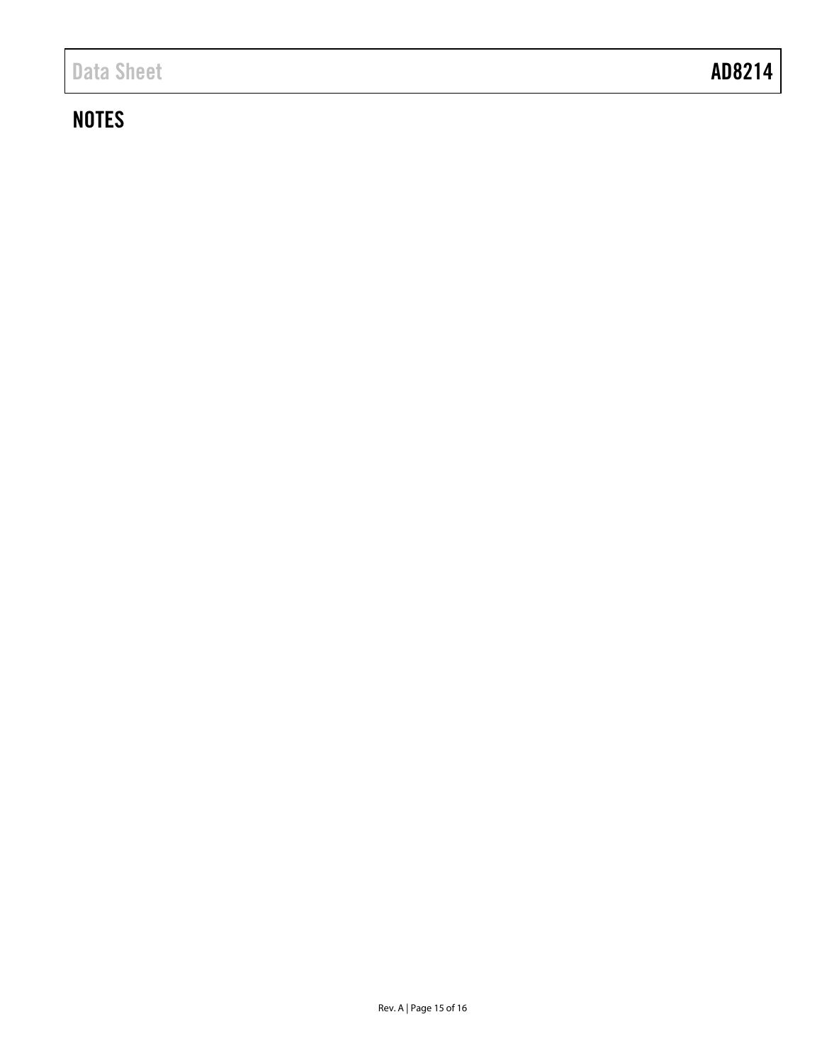## **NOTES**